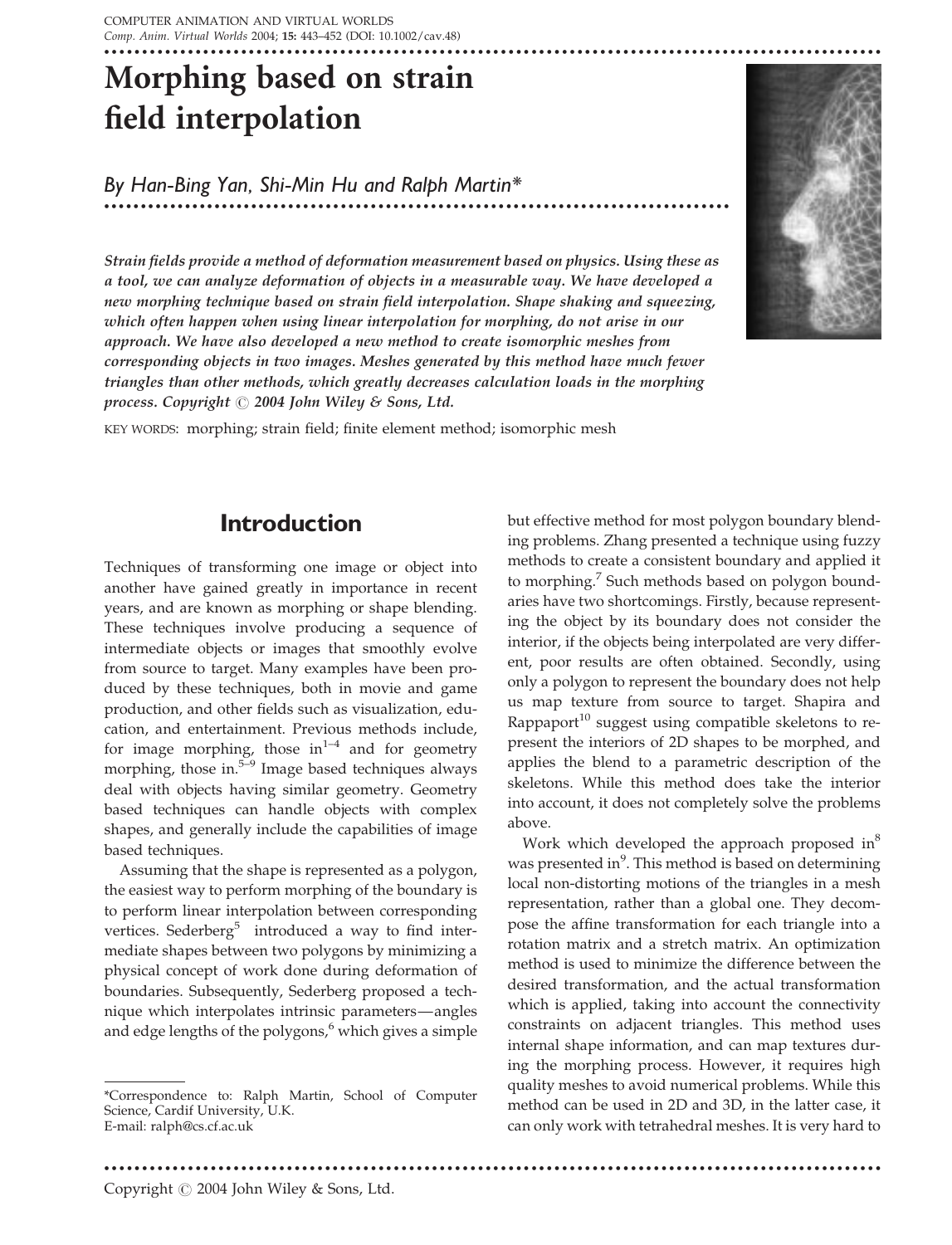# Morphing based on strain field interpolation

By Han-Bing Yan, Shi-Min Hu and Ralph Martin\*

Strain fields provide a method of deformation measurement based on physics. Using these as a tool, we can analyze deformation of objects in a measurable way. We have developed a new morphing technique based on strain field interpolation. Shape shaking and squeezing, which often happen when using linear interpolation for morphing, do not arise in our approach. We have also developed a new method to create isomorphic meshes from corresponding objects in two images. Meshes generated by this method have much fewer triangles than other methods, which greatly decreases calculation loads in the morphing process. Copyright © 2004 John Wiley & Sons, Ltd.

KEY WORDS: morphing; strain field; finite element method; isomorphic mesh



## **Introduction**

Techniques of transforming one image or object into another have gained greatly in importance in recent years, and are known as morphing or shape blending. These techniques involve producing a sequence of intermediate objects or images that smoothly evolve from source to target. Many examples have been produced by these techniques, both in movie and game production, and other fields such as visualization, education, and entertainment. Previous methods include, for image morphing, those  $in^{1-4}$  and for geometry morphing, those in.<sup>5-9</sup> Image based techniques always deal with objects having similar geometry. Geometry based techniques can handle objects with complex shapes, and generally include the capabilities of image based techniques.

Assuming that the shape is represented as a polygon, the easiest way to perform morphing of the boundary is to perform linear interpolation between corresponding vertices. Sederberg<sup>5</sup> introduced a way to find intermediate shapes between two polygons by minimizing a physical concept of work done during deformation of boundaries. Subsequently, Sederberg proposed a technique which interpolates intrinsic parameters—angles and edge lengths of the polygons,<sup>6</sup> which gives a simple but effective method for most polygon boundary blending problems. Zhang presented a technique using fuzzy methods to create a consistent boundary and applied it to morphing.<sup>7</sup> Such methods based on polygon boundaries have two shortcomings. Firstly, because representing the object by its boundary does not consider the interior, if the objects being interpolated are very different, poor results are often obtained. Secondly, using only a polygon to represent the boundary does not help us map texture from source to target. Shapira and Rappaport<sup>10</sup> suggest using compatible skeletons to represent the interiors of 2D shapes to be morphed, and applies the blend to a parametric description of the skeletons. While this method does take the interior into account, it does not completely solve the problems above.

Work which developed the approach proposed in<sup>8</sup> was presented in<sup>9</sup>. This method is based on determining local non-distorting motions of the triangles in a mesh representation, rather than a global one. They decompose the affine transformation for each triangle into a rotation matrix and a stretch matrix. An optimization method is used to minimize the difference between the desired transformation, and the actual transformation which is applied, taking into account the connectivity constraints on adjacent triangles. This method uses internal shape information, and can map textures during the morphing process. However, it requires high quality meshes to avoid numerical problems. While this method can be used in 2D and 3D, in the latter case, it can only work with tetrahedral meshes. It is very hard to

Copyright © 2004 John Wiley & Sons, Ltd.

<sup>\*</sup>Correspondence to: Ralph Martin, School of Computer Science, Cardif University, U.K. E-mail: ralph@cs.cf.ac.uk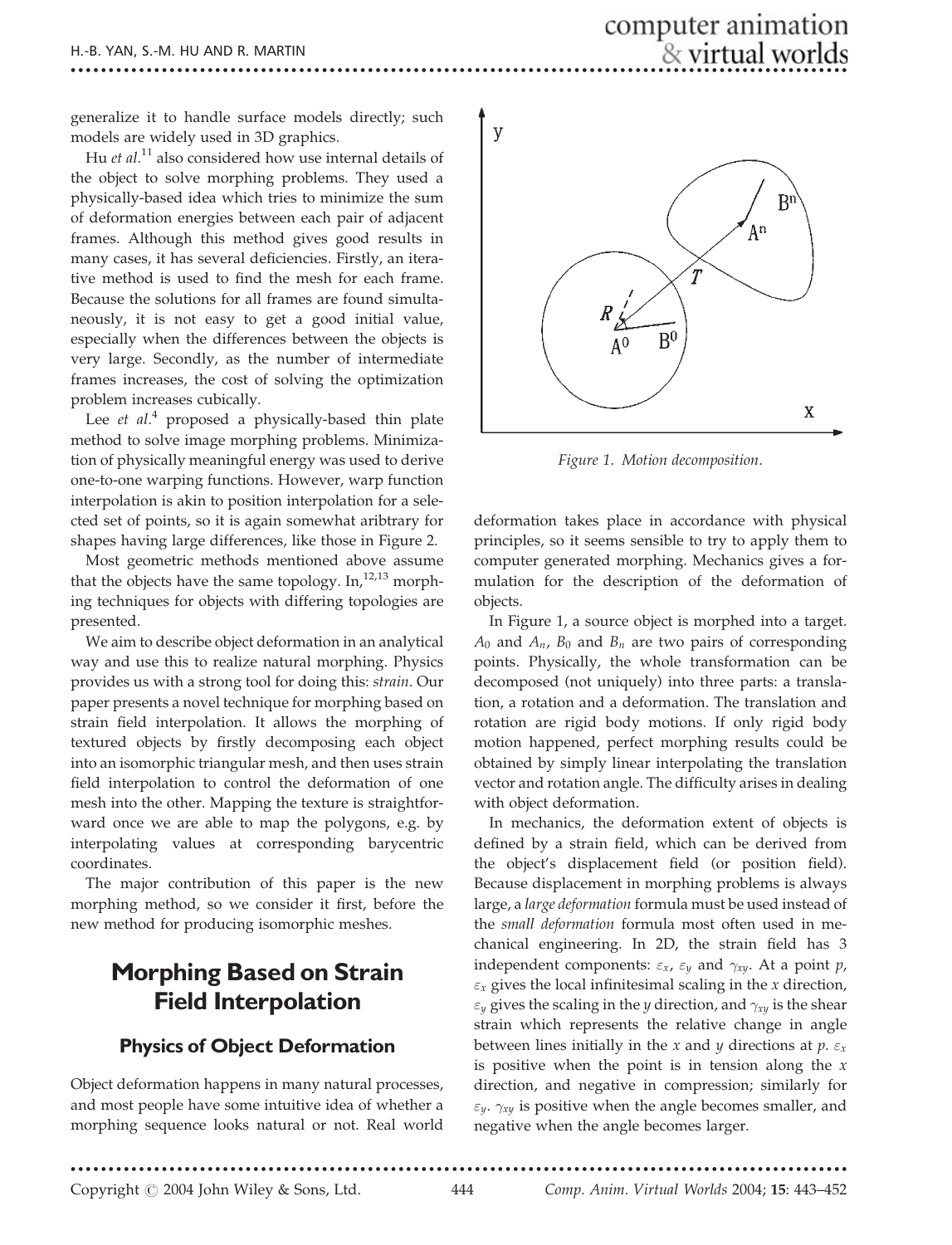generalize it to handle surface models directly; such models are widely used in 3D graphics.

Hu et al.<sup>11</sup> also considered how use internal details of the object to solve morphing problems. They used a physically-based idea which tries to minimize the sum of deformation energies between each pair of adjacent frames. Although this method gives good results in many cases, it has several deficiencies. Firstly, an iterative method is used to find the mesh for each frame. Because the solutions for all frames are found simultaneously, it is not easy to get a good initial value, especially when the differences between the objects is very large. Secondly, as the number of intermediate frames increases, the cost of solving the optimization problem increases cubically.

Lee *et al.*<sup>4</sup> proposed a physically-based thin plate method to solve image morphing problems. Minimization of physically meaningful energy was used to derive one-to-one warping functions. However, warp function interpolation is akin to position interpolation for a selected set of points, so it is again somewhat aribtrary for shapes having large differences, like those in Figure 2.

Most geometric methods mentioned above assume that the objects have the same topology. In, $^{12,13}$  morphing techniques for objects with differing topologies are presented.

We aim to describe object deformation in an analytical way and use this to realize natural morphing. Physics provides us with a strong tool for doing this: strain. Our paper presents a novel technique for morphing based on strain field interpolation. It allows the morphing of textured objects by firstly decomposing each object into an isomorphic triangular mesh, and then uses strain field interpolation to control the deformation of one mesh into the other. Mapping the texture is straightforward once we are able to map the polygons, e.g. by interpolating values at corresponding barycentric coordinates.

The major contribution of this paper is the new morphing method, so we consider it first, before the new method for producing isomorphic meshes.

## Morphing Based on Strain Field Interpolation

#### Physics of Object Deformation

Object deformation happens in many natural processes, and most people have some intuitive idea of whether a morphing sequence looks natural or not. Real world



Figure 1. Motion decomposition.

deformation takes place in accordance with physical principles, so it seems sensible to try to apply them to computer generated morphing. Mechanics gives a formulation for the description of the deformation of objects.

In Figure 1, a source object is morphed into a target.  $A_0$  and  $A_n$ ,  $B_0$  and  $B_n$  are two pairs of corresponding points. Physically, the whole transformation can be decomposed (not uniquely) into three parts: a translation, a rotation and a deformation. The translation and rotation are rigid body motions. If only rigid body motion happened, perfect morphing results could be obtained by simply linear interpolating the translation vector and rotation angle. The difficulty arises in dealing with object deformation.

In mechanics, the deformation extent of objects is defined by a strain field, which can be derived from the object's displacement field (or position field). Because displacement in morphing problems is always large, a large deformation formula must be used instead of the small deformation formula most often used in mechanical engineering. In 2D, the strain field has 3 independent components:  $\varepsilon_x$ ,  $\varepsilon_y$  and  $\gamma_{xy}$ . At a point p,  $\varepsilon_x$  gives the local infinitesimal scaling in the x direction,  $\varepsilon_y$  gives the scaling in the *y* direction, and  $\gamma_{xy}$  is the shear strain which represents the relative change in angle between lines initially in the x and y directions at  $p \in \mathcal{E}_x$ is positive when the point is in tension along the  $x$ direction, and negative in compression; similarly for  $\varepsilon_y$ .  $\gamma_{xy}$  is positive when the angle becomes smaller, and negative when the angle becomes larger.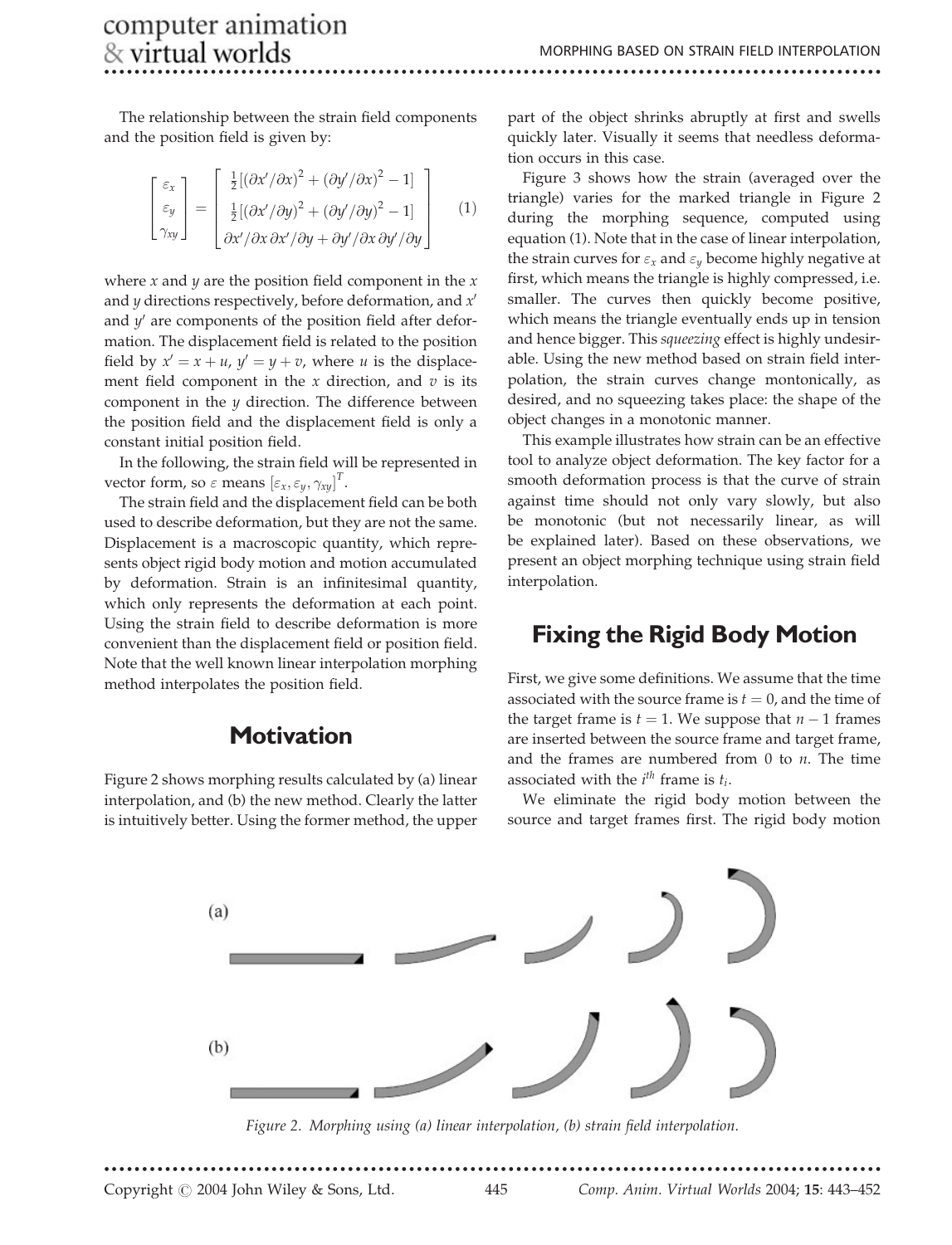The relationship between the strain field components and the position field is given by:

$$
\begin{bmatrix} \varepsilon_x \\ \varepsilon_y \\ \gamma_{xy} \end{bmatrix} = \begin{bmatrix} \frac{1}{2} [(\partial x'/\partial x)^2 + (\partial y'/\partial x)^2 - 1] \\ \frac{1}{2} [(\partial x'/\partial y)^2 + (\partial y'/\partial y)^2 - 1] \\ \partial x'/\partial x \partial x'/\partial y + \partial y'/\partial x \partial y'/\partial y \end{bmatrix}
$$
 (1)

where x and y are the position field component in the  $x$ and  $y$  directions respectively, before deformation, and  $x'$ and  $y'$  are components of the position field after deformation. The displacement field is related to the position field by  $x' = x + u$ ,  $y' = y + v$ , where u is the displacement field component in the  $x$  direction, and  $v$  is its component in the  $y$  direction. The difference between the position field and the displacement field is only a constant initial position field.

In the following, the strain field will be represented in vector form, so  $\varepsilon$  means  $\left[\varepsilon_x, \varepsilon_y, \gamma_{xy}\right]^T$ .

The strain field and the displacement field can be both used to describe deformation, but they are not the same. Displacement is a macroscopic quantity, which represents object rigid body motion and motion accumulated by deformation. Strain is an infinitesimal quantity, which only represents the deformation at each point. Using the strain field to describe deformation is more convenient than the displacement field or position field. Note that the well known linear interpolation morphing method interpolates the position field.

## **Motivation**

Figure 2 shows morphing results calculated by (a) linear interpolation, and (b) the new method. Clearly the latter is intuitively better. Using the former method, the upper part of the object shrinks abruptly at first and swells quickly later. Visually it seems that needless deformation occurs in this case.

Figure 3 shows how the strain (averaged over the triangle) varies for the marked triangle in Figure 2 during the morphing sequence, computed using equation (1). Note that in the case of linear interpolation, the strain curves for  $\varepsilon_x$  and  $\varepsilon_y$  become highly negative at first, which means the triangle is highly compressed, i.e. smaller. The curves then quickly become positive, which means the triangle eventually ends up in tension and hence bigger. This squeezing effect is highly undesirable. Using the new method based on strain field interpolation, the strain curves change montonically, as desired, and no squeezing takes place: the shape of the object changes in a monotonic manner.

This example illustrates how strain can be an effective tool to analyze object deformation. The key factor for a smooth deformation process is that the curve of strain against time should not only vary slowly, but also be monotonic (but not necessarily linear, as will be explained later). Based on these observations, we present an object morphing technique using strain field interpolation.

## Fixing the Rigid Body Motion

First, we give some definitions. We assume that the time associated with the source frame is  $t = 0$ , and the time of the target frame is  $t = 1$ . We suppose that  $n - 1$  frames are inserted between the source frame and target frame, and the frames are numbered from  $0$  to  $n$ . The time associated with the  $i^{th}$  frame is  $t_i$ .

We eliminate the rigid body motion between the source and target frames first. The rigid body motion



Figure 2. Morphing using (a) linear interpolation, (b) strain field interpolation.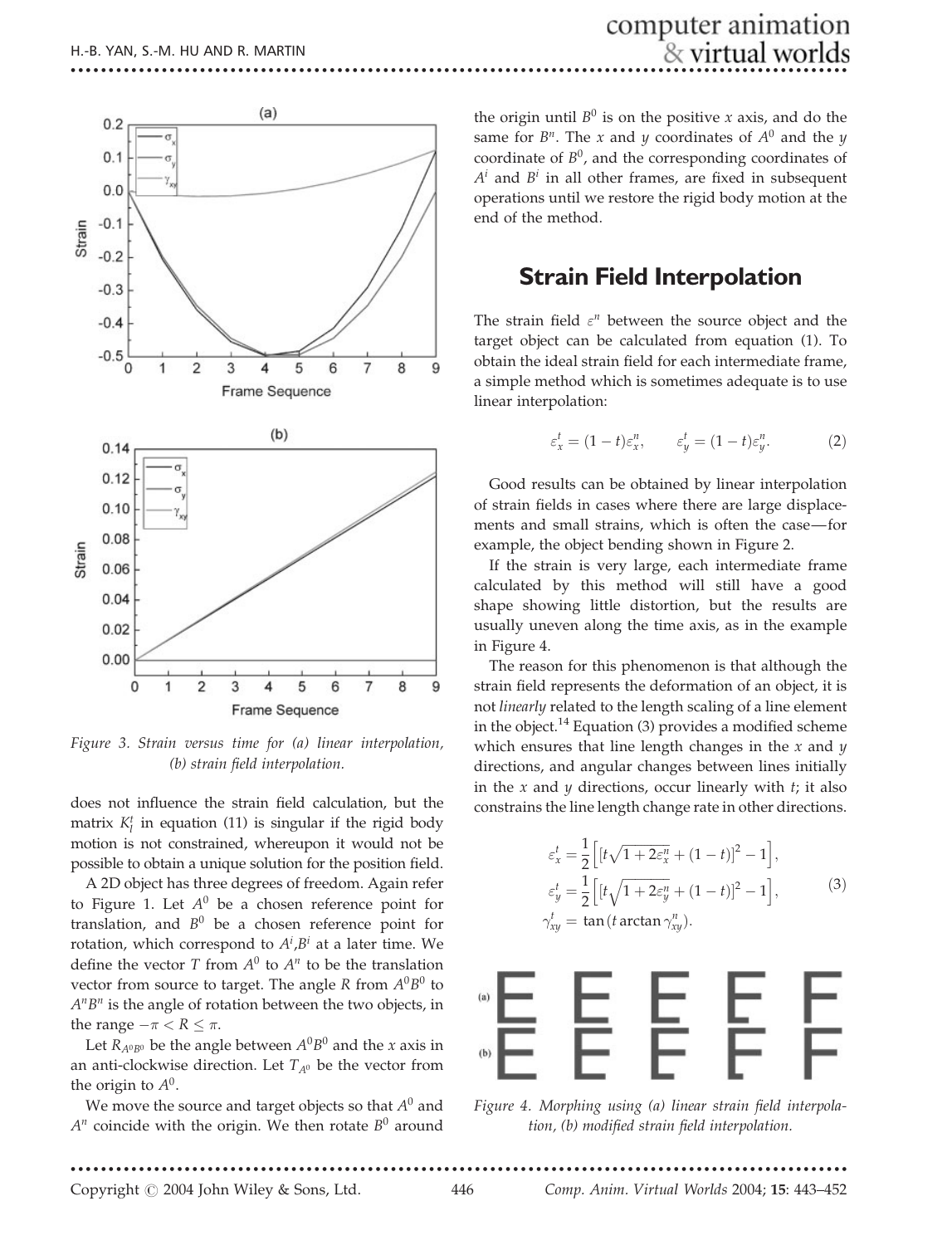

Figure 3. Strain versus time for (a) linear interpolation, (b) strain field interpolation.

does not influence the strain field calculation, but the matrix  $K_l^t$  in equation (11) is singular if the rigid body motion is not constrained, whereupon it would not be possible to obtain a unique solution for the position field.

A 2D object has three degrees of freedom. Again refer to Figure 1. Let  $A^0$  be a chosen reference point for translation, and  $B^0$  be a chosen reference point for rotation, which correspond to  $A^i$ , $B^i$  at a later time. We define the vector T from  $A^0$  to  $A^n$  to be the translation vector from source to target. The angle R from  $A^0B^0$  to  $A^nB^n$  is the angle of rotation between the two objects, in the range  $-\pi < R \leq \pi$ .

Let  $R_{A^0B^0}$  be the angle between  $A^0B^0$  and the x axis in an anti-clockwise direction. Let  $T_{A^0}$  be the vector from the origin to  $A^0$ .

We move the source and target objects so that  $A^0$  and  $A<sup>n</sup>$  coincide with the origin. We then rotate  $B<sup>0</sup>$  around

the origin until  $B^0$  is on the positive x axis, and do the same for  $B^n$ . The x and y coordinates of  $A^0$  and the y coordinate of  $B^0$ , and the corresponding coordinates of  $A<sup>i</sup>$  and  $B<sup>i</sup>$  in all other frames, are fixed in subsequent operations until we restore the rigid body motion at the end of the method.

## Strain Field Interpolation

The strain field  $\varepsilon^n$  between the source object and the target object can be calculated from equation (1). To obtain the ideal strain field for each intermediate frame, a simple method which is sometimes adequate is to use linear interpolation:

$$
\varepsilon_x^t = (1-t)\varepsilon_x^n, \qquad \varepsilon_y^t = (1-t)\varepsilon_y^n. \tag{2}
$$

Good results can be obtained by linear interpolation of strain fields in cases where there are large displacements and small strains, which is often the case—for example, the object bending shown in Figure 2.

If the strain is very large, each intermediate frame calculated by this method will still have a good shape showing little distortion, but the results are usually uneven along the time axis, as in the example in Figure 4.

The reason for this phenomenon is that although the strain field represents the deformation of an object, it is not linearly related to the length scaling of a line element in the object.<sup>14</sup> Equation (3) provides a modified scheme which ensures that line length changes in the  $x$  and  $y$ directions, and angular changes between lines initially in the  $x$  and  $y$  directions, occur linearly with  $t$ ; it also constrains the line length change rate in other directions.

$$
\varepsilon_x^t = \frac{1}{2} \left[ \left[ t\sqrt{1 + 2\varepsilon_x^u} + (1 - t) \right]^2 - 1 \right],
$$
  
\n
$$
\varepsilon_y^t = \frac{1}{2} \left[ \left[ t\sqrt{1 + 2\varepsilon_y^u} + (1 - t) \right]^2 - 1 \right],
$$
  
\n
$$
\gamma_{xy}^t = \tan \left( t \arctan \gamma_{xy}^u \right).
$$
\n(3)



Figure 4. Morphing using (a) linear strain field interpolation, (b) modified strain field interpolation.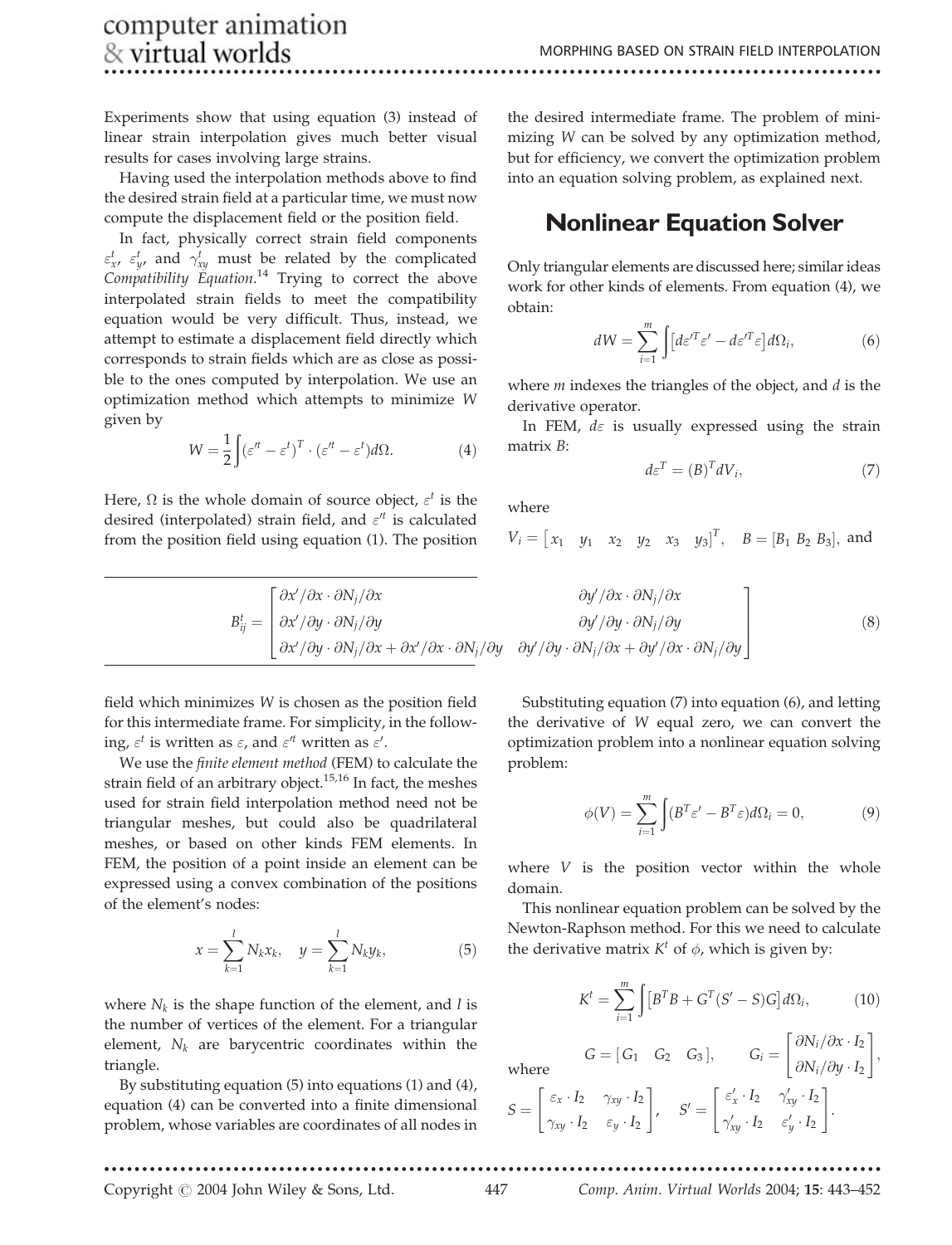Experiments show that using equation (3) instead of linear strain interpolation gives much better visual results for cases involving large strains.

Having used the interpolation methods above to find the desired strain field at a particular time, we must now compute the displacement field or the position field.

In fact, physically correct strain field components  $\varepsilon_{x}^{t}$ ,  $\varepsilon_{y}^{t}$ , and  $\gamma_{xy}^{t}$  must be related by the complicated Compatibility Equation.<sup>14</sup> Trying to correct the above interpolated strain fields to meet the compatibility equation would be very difficult. Thus, instead, we attempt to estimate a displacement field directly which corresponds to strain fields which are as close as possible to the ones computed by interpolation. We use an optimization method which attempts to minimize W given by

$$
W = \frac{1}{2} \int (\varepsilon'^t - \varepsilon^t)^T \cdot (\varepsilon'^t - \varepsilon^t) d\Omega.
$$
 (4)

Here,  $\Omega$  is the whole domain of source object,  $\varepsilon^t$  is the desired (interpolated) strain field, and  $\varepsilon$ <sup>t</sup> is calculated from the position field using equation (1). The position the desired intermediate frame. The problem of minimizing W can be solved by any optimization method, but for efficiency, we convert the optimization problem into an equation solving problem, as explained next.

## Nonlinear Equation Solver

Only triangular elements are discussed here; similar ideas work for other kinds of elements. From equation (4), we obtain:

$$
dW = \sum_{i=1}^{m} \int [d\varepsilon'^T \varepsilon' - d\varepsilon'^T \varepsilon] d\Omega_i,
$$
 (6)

where  $m$  indexes the triangles of the object, and  $d$  is the derivative operator.

In FEM,  $d\varepsilon$  is usually expressed using the strain matrix B:

$$
d\varepsilon^T = (B)^T dV_i, \tag{7}
$$

where

$$
V_i = [x_1 \quad y_1 \quad x_2 \quad y_2 \quad x_3 \quad y_3]^T, \quad B = [B_1 \ B_2 \ B_3], \text{ and}
$$

$$
B_{ij}^{t} = \begin{bmatrix} \frac{\partial x'}{\partial x} \cdot \frac{\partial N_{j}}{\partial x} & \frac{\partial y'}{\partial x} \cdot \frac{\partial N_{j}}{\partial x} \\ \frac{\partial x'}{\partial y} \cdot \frac{\partial N_{j}}{\partial y} & \frac{\partial y'}{\partial y} \cdot \frac{\partial N_{j}}{\partial y} \end{bmatrix} \begin{bmatrix} \frac{\partial x'}{\partial x} \cdot \frac{\partial N_{j}}{\partial x} \\ \frac{\partial x'}{\partial y} \cdot \frac{\partial N_{j}}{\partial x} + \frac{\partial x'}{\partial x} \cdot \frac{\partial N_{j}}{\partial y} & \frac{\partial y'}{\partial y} \cdot \frac{\partial N_{j}}{\partial x} + \frac{\partial y'}{\partial x} \cdot \frac{\partial N_{j}}{\partial y} \end{bmatrix}
$$
(8)

field which minimizes W is chosen as the position field for this intermediate frame. For simplicity, in the following,  $\varepsilon^t$  is written as  $\varepsilon$ , and  $\varepsilon'^t$  written as  $\varepsilon'$ .

We use the finite element method (FEM) to calculate the strain field of an arbitrary object.<sup>15,16</sup> In fact, the meshes used for strain field interpolation method need not be triangular meshes, but could also be quadrilateral meshes, or based on other kinds FEM elements. In FEM, the position of a point inside an element can be expressed using a convex combination of the positions of the element's nodes:

$$
x = \sum_{k=1}^{l} N_k x_k, \quad y = \sum_{k=1}^{l} N_k y_k,
$$
 (5)

where  $N_k$  is the shape function of the element, and  $l$  is the number of vertices of the element. For a triangular element,  $N_k$  are barycentric coordinates within the triangle.

By substituting equation (5) into equations (1) and (4), equation (4) can be converted into a finite dimensional problem, whose variables are coordinates of all nodes in

Substituting equation (7) into equation (6), and letting the derivative of W equal zero, we can convert the optimization problem into a nonlinear equation solving problem:

$$
\phi(V) = \sum_{i=1}^{m} \int (B^T \varepsilon' - B^T \varepsilon) d\Omega_i = 0, \tag{9}
$$

where  $V$  is the position vector within the whole domain.

This nonlinear equation problem can be solved by the Newton-Raphson method. For this we need to calculate the derivative matrix  $K^t$  of  $\phi$ , which is given by:

$$
K^{t} = \sum_{i=1}^{m} \int [B^{T}B + G^{T}(S'-S)G]d\Omega_{i},
$$
 (10)

 $G = \begin{bmatrix} G_1 & G_2 & G_3 \end{bmatrix}, \qquad G_i = \begin{bmatrix} \partial N_i/\partial x \cdot I_2 \ \partial N_i/\partial y \cdot I_2 \end{bmatrix}$ 

;

where

$$
S = \begin{bmatrix} \varepsilon_x \cdot I_2 & \gamma_{xy} \cdot I_2 \\ \gamma_{xy} \cdot I_2 & \varepsilon_y \cdot I_2 \end{bmatrix}, \quad S' = \begin{bmatrix} \varepsilon'_x \cdot I_2 & \gamma'_{xy} \cdot I_2 \\ \gamma'_{xy} \cdot I_2 & \varepsilon'_y \cdot I_2 \end{bmatrix}.
$$

#### Copyright © 2004 John Wiley & Sons, Ltd. 447 Comp. Anim. Virtual Worlds 2004; 15: 443–452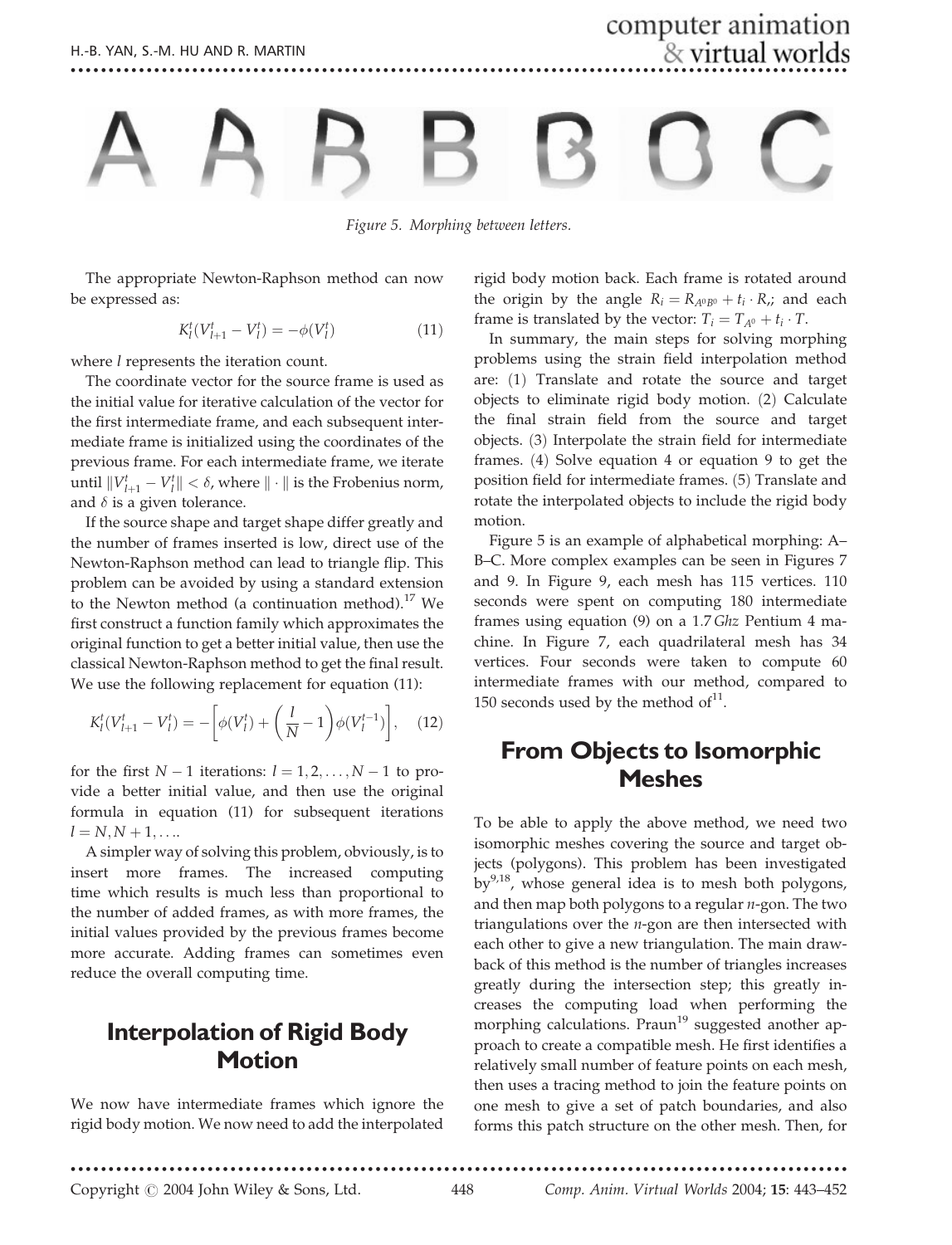

Figure 5. Morphing between letters.

The appropriate Newton-Raphson method can now be expressed as:

$$
K_l^t(V_{l+1}^t - V_l^t) = -\phi(V_l^t)
$$
\n(11)

where  $l$  represents the iteration count.

The coordinate vector for the source frame is used as the initial value for iterative calculation of the vector for the first intermediate frame, and each subsequent intermediate frame is initialized using the coordinates of the previous frame. For each intermediate frame, we iterate until  $\|V_{l+1}^t-V_l^t\|<\delta$ , where  $\|\cdot\|$  is the Frobenius norm, and  $\delta$  is a given tolerance.

If the source shape and target shape differ greatly and the number of frames inserted is low, direct use of the Newton-Raphson method can lead to triangle flip. This problem can be avoided by using a standard extension to the Newton method (a continuation method).<sup>17</sup> We first construct a function family which approximates the original function to get a better initial value, then use the classical Newton-Raphson method to get the final result. We use the following replacement for equation (11):

$$
K_l^t(V_{l+1}^t - V_l^t) = -\left[\phi(V_l^t) + \left(\frac{l}{N} - 1\right)\phi(V_l^{t-1})\right], \quad (12)
$$

for the first  $N-1$  iterations:  $l = 1, 2, \ldots, N-1$  to provide a better initial value, and then use the original formula in equation (11) for subsequent iterations  $l = N, N + 1, \dots$ 

A simpler way of solving this problem, obviously, is to insert more frames. The increased computing time which results is much less than proportional to the number of added frames, as with more frames, the initial values provided by the previous frames become more accurate. Adding frames can sometimes even reduce the overall computing time.

## Interpolation of Rigid Body **Motion**

We now have intermediate frames which ignore the rigid body motion. We now need to add the interpolated

rigid body motion back. Each frame is rotated around the origin by the angle  $R_i = R_{A^0B^0} + t_i \cdot R_i$ ; and each frame is translated by the vector:  $T_i = T_{A^0} + t_i \cdot T$ .

In summary, the main steps for solving morphing problems using the strain field interpolation method are: (1) Translate and rotate the source and target objects to eliminate rigid body motion.  $(2)$  Calculate the final strain field from the source and target objects. (3) Interpolate the strain field for intermediate frames.  $(4)$  Solve equation 4 or equation 9 to get the position field for intermediate frames. (5) Translate and rotate the interpolated objects to include the rigid body motion.

Figure 5 is an example of alphabetical morphing: A– B–C. More complex examples can be seen in Figures 7 and 9. In Figure 9, each mesh has 115 vertices. 110 seconds were spent on computing 180 intermediate frames using equation (9) on a 1:7 Ghz Pentium 4 machine. In Figure 7, each quadrilateral mesh has 34 vertices. Four seconds were taken to compute 60 intermediate frames with our method, compared to 150 seconds used by the method of $<sup>11</sup>$ .</sup>

## From Objects to Isomorphic **Meshes**

To be able to apply the above method, we need two isomorphic meshes covering the source and target objects (polygons). This problem has been investigated  $by<sup>9,18</sup>$ , whose general idea is to mesh both polygons, and then map both polygons to a regular  $n$ -gon. The two triangulations over the  $n$ -gon are then intersected with each other to give a new triangulation. The main drawback of this method is the number of triangles increases greatly during the intersection step; this greatly increases the computing load when performing the morphing calculations. Praun<sup>19</sup> suggested another approach to create a compatible mesh. He first identifies a relatively small number of feature points on each mesh, then uses a tracing method to join the feature points on one mesh to give a set of patch boundaries, and also forms this patch structure on the other mesh. Then, for

\*\*\*\*\*\*\*\*\*\*\*\*\*\*\*\*\*\*\*\*\*\*\*\*\*\*\*\*\*\*\*\*\*\*\*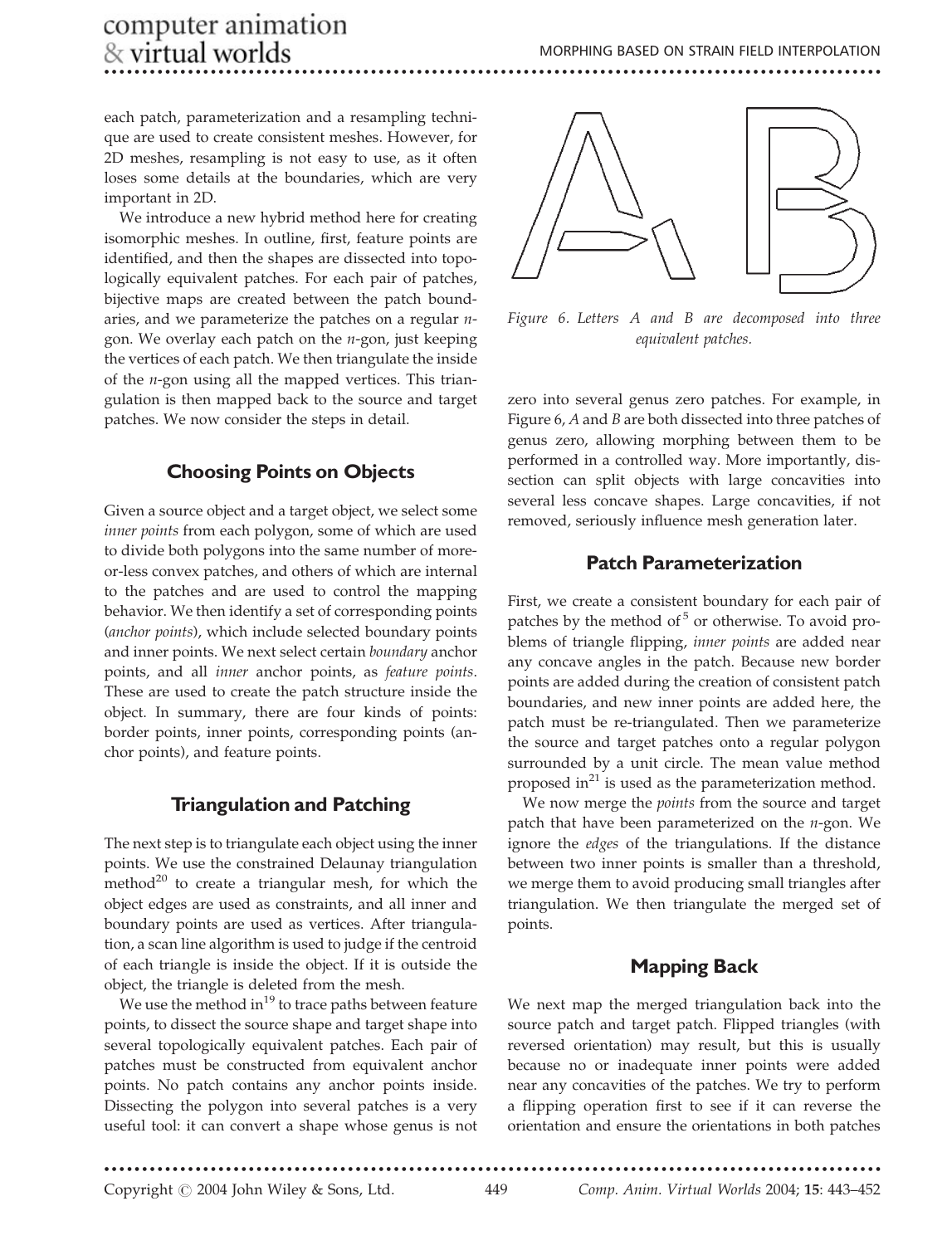each patch, parameterization and a resampling technique are used to create consistent meshes. However, for 2D meshes, resampling is not easy to use, as it often loses some details at the boundaries, which are very important in 2D.

We introduce a new hybrid method here for creating isomorphic meshes. In outline, first, feature points are identified, and then the shapes are dissected into topologically equivalent patches. For each pair of patches, bijective maps are created between the patch boundaries, and we parameterize the patches on a regular ngon. We overlay each patch on the  $n$ -gon, just keeping the vertices of each patch. We then triangulate the inside of the  $n$ -gon using all the mapped vertices. This triangulation is then mapped back to the source and target patches. We now consider the steps in detail.

#### Choosing Points on Objects

Given a source object and a target object, we select some inner points from each polygon, some of which are used to divide both polygons into the same number of moreor-less convex patches, and others of which are internal to the patches and are used to control the mapping behavior. We then identify a set of corresponding points (anchor points), which include selected boundary points and inner points. We next select certain boundary anchor points, and all inner anchor points, as feature points. These are used to create the patch structure inside the object. In summary, there are four kinds of points: border points, inner points, corresponding points (anchor points), and feature points.

#### Triangulation and Patching

The next step is to triangulate each object using the inner points. We use the constrained Delaunay triangulation method $^{20}$  to create a triangular mesh, for which the object edges are used as constraints, and all inner and boundary points are used as vertices. After triangulation, a scan line algorithm is used to judge if the centroid of each triangle is inside the object. If it is outside the object, the triangle is deleted from the mesh.

We use the method in $19$  to trace paths between feature points, to dissect the source shape and target shape into several topologically equivalent patches. Each pair of patches must be constructed from equivalent anchor points. No patch contains any anchor points inside. Dissecting the polygon into several patches is a very useful tool: it can convert a shape whose genus is not



Figure 6. Letters A and B are decomposed into three equivalent patches.

zero into several genus zero patches. For example, in Figure 6, A and B are both dissected into three patches of genus zero, allowing morphing between them to be performed in a controlled way. More importantly, dissection can split objects with large concavities into several less concave shapes. Large concavities, if not removed, seriously influence mesh generation later.

#### Patch Parameterization

First, we create a consistent boundary for each pair of patches by the method of  $5$  or otherwise. To avoid problems of triangle flipping, inner points are added near any concave angles in the patch. Because new border points are added during the creation of consistent patch boundaries, and new inner points are added here, the patch must be re-triangulated. Then we parameterize the source and target patches onto a regular polygon surrounded by a unit circle. The mean value method proposed  $in^{21}$  is used as the parameterization method.

We now merge the *points* from the source and target patch that have been parameterized on the  $n$ -gon. We ignore the edges of the triangulations. If the distance between two inner points is smaller than a threshold, we merge them to avoid producing small triangles after triangulation. We then triangulate the merged set of points.

#### Mapping Back

We next map the merged triangulation back into the source patch and target patch. Flipped triangles (with reversed orientation) may result, but this is usually because no or inadequate inner points were added near any concavities of the patches. We try to perform a flipping operation first to see if it can reverse the orientation and ensure the orientations in both patches

\*\*\*\*\*\*\*\*\*\*\*\*\*\*\*\*\*\*\*\*\*\*\*\*\*\*\*\*\*\*\*\*\*\*\*\*\*\*\*\*\*\*\*\*\*\*\*\*\*\*\*\*\*\*\*\*\*\*\*\*\*\*\*\*\*\*\*\*\*\*\*\*\*\*\*\*\*\*\*\*\*\*\*\*\*\*\*\*\*\*\*\*\*\*\*\*\*\*\*\*\*\*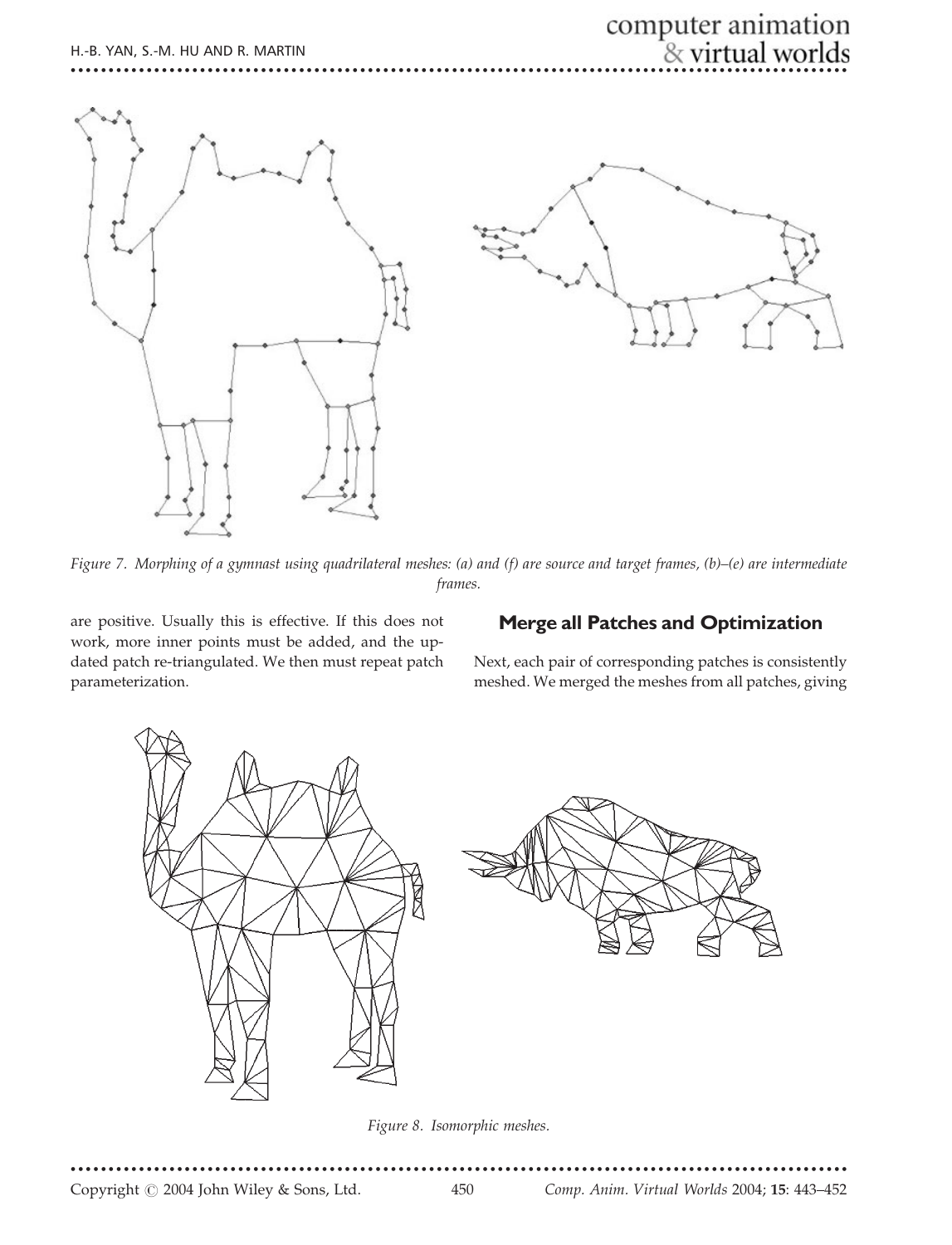

Figure 7. Morphing of a gymnast using quadrilateral meshes: (a) and (f) are source and target frames,  $(b)$ –(e) are intermediate frames.

are positive. Usually this is effective. If this does not work, more inner points must be added, and the updated patch re-triangulated. We then must repeat patch parameterization.

### **Merge all Patches and Optimization**

Next, each pair of corresponding patches is consistently meshed. We merged the meshes from all patches, giving



Figure 8. Isomorphic meshes.

Copyright © 2004 John Wiley & Sons, Ltd.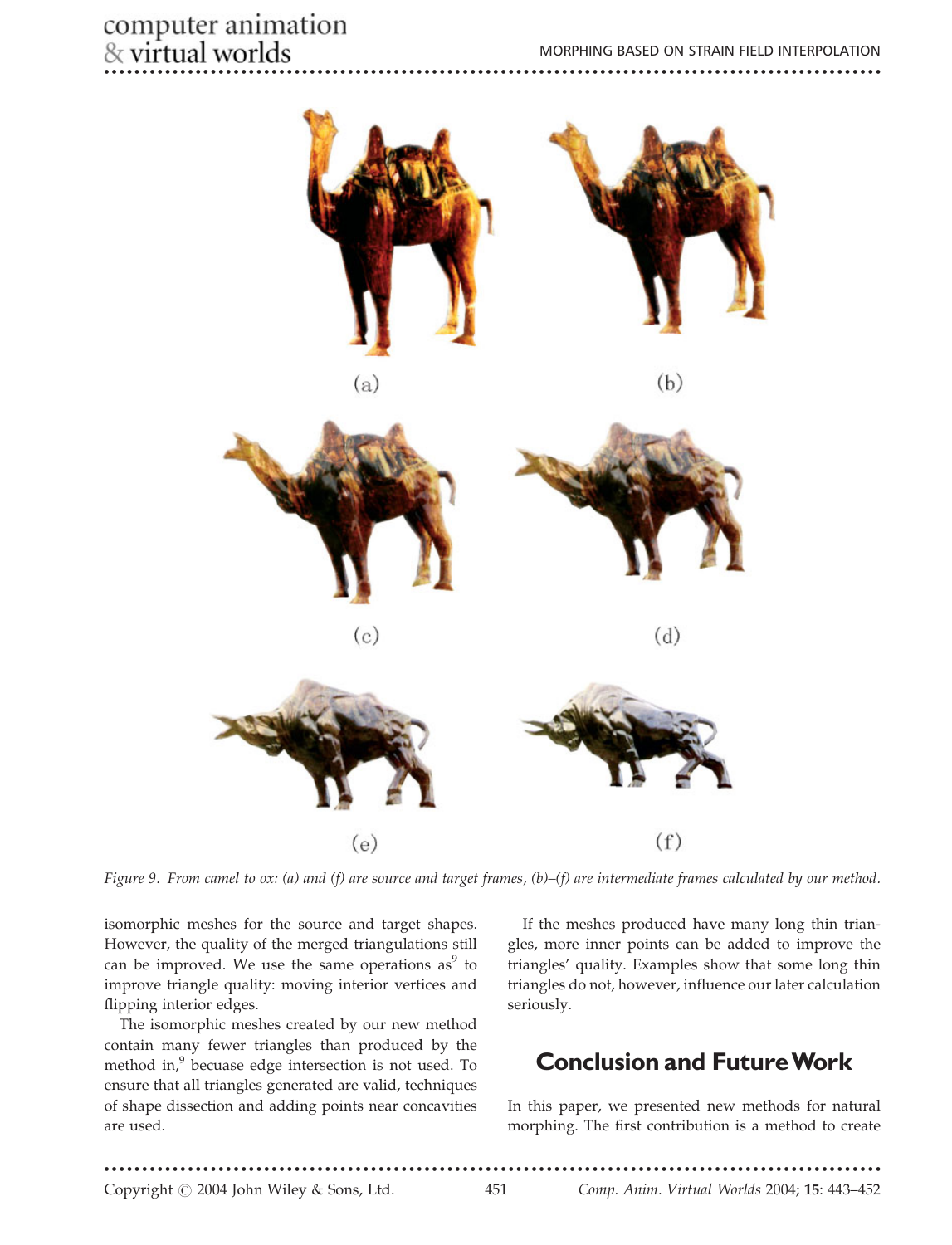



Figure 9. From camel to ox: (a) and (f) are source and target frames, (b)–(f) are intermediate frames calculated by our method.

isomorphic meshes for the source and target shapes. However, the quality of the merged triangulations still can be improved. We use the same operations as<sup>9</sup> to improve triangle quality: moving interior vertices and flipping interior edges.

The isomorphic meshes created by our new method contain many fewer triangles than produced by the method in,<sup>9</sup> becuase edge intersection is not used. To ensure that all triangles generated are valid, techniques of shape dissection and adding points near concavities are used.

If the meshes produced have many long thin triangles, more inner points can be added to improve the triangles' quality. Examples show that some long thin triangles do not, however, influence our later calculation seriously.

## **Conclusion and Future Work**

In this paper, we presented new methods for natural morphing. The first contribution is a method to create

.............................